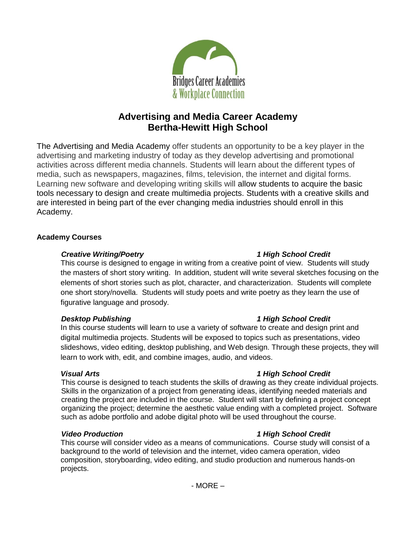

# **Advertising and Media Career Academy Bertha-Hewitt High School**

The Advertising and Media Academy offer students an opportunity to be a key player in the advertising and marketing industry of today as they develop advertising and promotional activities across different media channels. Students will learn about the different types of media, such as newspapers, magazines, films, television, the internet and digital forms. Learning new software and developing writing skills will allow students to acquire the basic tools necessary to design and create multimedia projects. Students with a creative skills and are interested in being part of the ever changing media industries should enroll in this Academy.

# **Academy Courses**

# *Creative Writing/Poetry 1 High School Credit*

This course is designed to engage in writing from a creative point of view. Students will study the masters of short story writing. In addition, student will write several sketches focusing on the elements of short stories such as plot, character, and characterization. Students will complete one short story/novella. Students will study poets and write poetry as they learn the use of figurative language and prosody.

# *Desktop Publishing 1 High School Credit*

In this course students will learn to use a variety of software to create and design print and digital multimedia projects. Students will be exposed to topics such as presentations, video slideshows, video editing, desktop publishing, and Web design. Through these projects, they will learn to work with, edit, and combine images, audio, and videos.

This course is designed to teach students the skills of drawing as they create individual projects. Skills in the organization of a project from generating ideas, identifying needed materials and creating the project are included in the course. Student will start by defining a project concept organizing the project; determine the aesthetic value ending with a completed project. Software such as adobe portfolio and adobe digital photo will be used throughout the course.

### *Video Production 1 High School Credit*

This course will consider video as a means of communications. Course study will consist of a background to the world of television and the internet, video camera operation, video composition, storyboarding, video editing, and studio production and numerous hands-on projects.

# *Visual Arts 1 High School Credit*